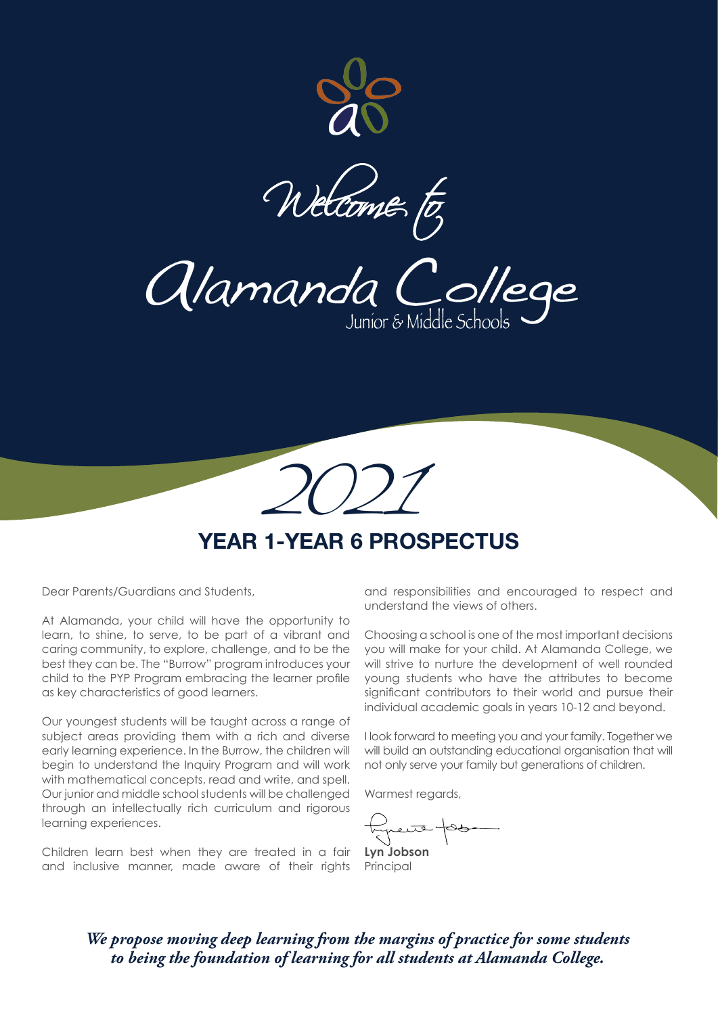

Welcome to

Alamanda College Junior & Middle Scho



# **YEAR 1-YEAR 6 PROSPECTUS**

Dear Parents/Guardians and Students,

At Alamanda, your child will have the opportunity to learn, to shine, to serve, to be part of a vibrant and caring community, to explore, challenge, and to be the best they can be. The "Burrow" program introduces your child to the PYP Program embracing the learner profile as key characteristics of good learners.

Our youngest students will be taught across a range of subject areas providing them with a rich and diverse early learning experience. In the Burrow, the children will begin to understand the Inquiry Program and will work with mathematical concepts, read and write, and spell. Our junior and middle school students will be challenged through an intellectually rich curriculum and rigorous learning experiences.

Children learn best when they are treated in a fair and inclusive manner, made aware of their rights

and responsibilities and encouraged to respect and understand the views of others.

Choosing a school is one of the most important decisions you will make for your child. At Alamanda College, we will strive to nurture the development of well rounded young students who have the attributes to become significant contributors to their world and pursue their individual academic goals in years 10-12 and beyond.

I look forward to meeting you and your family. Together we will build an outstanding educational organisation that will not only serve your family but generations of children.

Warmest regards,

لحترم

**Lyn Jobson Principal** 

*We propose moving deep learning from the margins of practice for some students to being the foundation of learning for all students at Alamanda College.*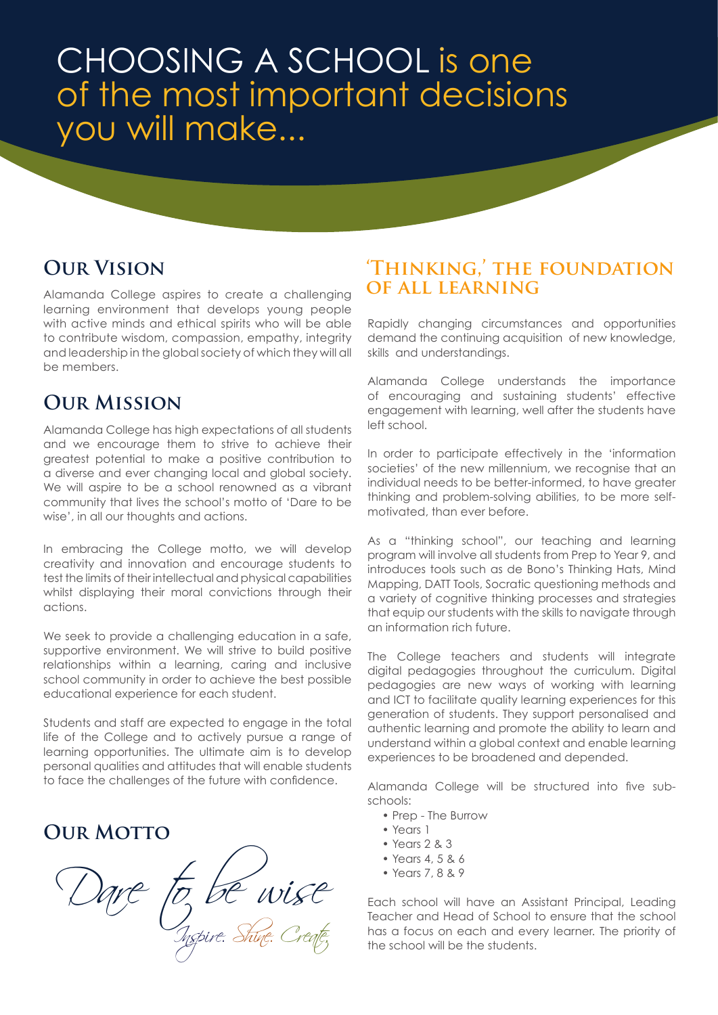# CHOOSING A SCHOOL is one of the most important decisions you will make...

# **Our Vision**

Alamanda College aspires to create a challenging learning environment that develops young people with active minds and ethical spirits who will be able to contribute wisdom, compassion, empathy, integrity and leadership in the global society of which they will all be members.

# **Our Mission**

Alamanda College has high expectations of all students and we encourage them to strive to achieve their greatest potential to make a positive contribution to a diverse and ever changing local and global society. We will aspire to be a school renowned as a vibrant community that lives the school's motto of 'Dare to be wise', in all our thoughts and actions.

In embracing the College motto, we will develop creativity and innovation and encourage students to test the limits of their intellectual and physical capabilities whilst displaying their moral convictions through their actions.

We seek to provide a challenging education in a safe, supportive environment. We will strive to build positive relationships within a learning, caring and inclusive school community in order to achieve the best possible educational experience for each student.

Students and staff are expected to engage in the total life of the College and to actively pursue a range of learning opportunities. The ultimate aim is to develop personal qualities and attitudes that will enable students to face the challenges of the future with confidence.

# **OUR MOTTO**

Dare to be wise Inspire. Shine. Create.

## **'Thinking,' the foundation of all learning**

Rapidly changing circumstances and opportunities demand the continuing acquisition of new knowledge, skills and understandings.

Alamanda College understands the importance of encouraging and sustaining students' effective engagement with learning, well after the students have left school.

In order to participate effectively in the 'information societies' of the new millennium, we recognise that an individual needs to be better-informed, to have greater thinking and problem-solving abilities, to be more selfmotivated, than ever before.

As a "thinking school", our teaching and learning program will involve all students from Prep to Year 9, and introduces tools such as de Bono's Thinking Hats, Mind Mapping, DATT Tools, Socratic questioning methods and a variety of cognitive thinking processes and strategies that equip our students with the skills to navigate through an information rich future.

The College teachers and students will integrate digital pedagogies throughout the curriculum. Digital pedagogies are new ways of working with learning and ICT to facilitate quality learning experiences for this generation of students. They support personalised and authentic learning and promote the ability to learn and understand within a global context and enable learning experiences to be broadened and depended.

Alamanda College will be structured into five subschools:

- Prep The Burrow
- Years 1
- Years 2 & 3
- Years 4, 5 & 6
- Years 7, 8 & 9

Each school will have an Assistant Principal, Leading Teacher and Head of School to ensure that the school has a focus on each and every learner. The priority of the school will be the students.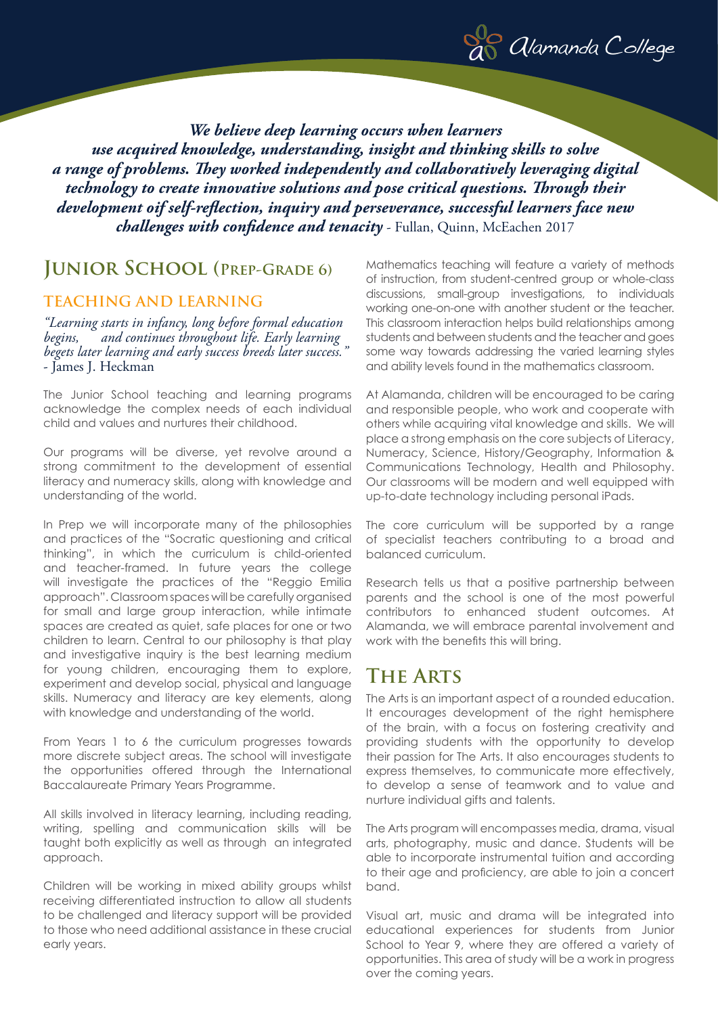

*We believe deep learning occurs when learners use acquired knowledge, understanding, insight and thinking skills to solve a range of problems. They worked independently and collaboratively leveraging digital technology to create innovative solutions and pose critical questions. Through their development oif self-reflection, inquiry and perseverance, successful learners face new challenges with confidence and tenacity* - Fullan, Quinn, McEachen 2017

## **Junior School (Prep-Grade 6)**

#### **TEACHING AND LEARNING**

*"Learning starts in infancy, long before formal education begins, and continues throughout life. Early learning begets later learning and early success breeds later success."*  - James J. Heckman

The Junior School teaching and learning programs acknowledge the complex needs of each individual child and values and nurtures their childhood.

Our programs will be diverse, yet revolve around a strong commitment to the development of essential literacy and numeracy skills, along with knowledge and understanding of the world.

In Prep we will incorporate many of the philosophies and practices of the "Socratic questioning and critical thinking", in which the curriculum is child-oriented and teacher-framed. In future years the college will investigate the practices of the "Reggio Emilia approach". Classroom spaces will be carefully organised for small and large group interaction, while intimate spaces are created as quiet, safe places for one or two children to learn. Central to our philosophy is that play and investigative inquiry is the best learning medium for young children, encouraging them to explore, experiment and develop social, physical and language skills. Numeracy and literacy are key elements, along with knowledge and understanding of the world.

From Years 1 to 6 the curriculum progresses towards more discrete subject areas. The school will investigate the opportunities offered through the International Baccalaureate Primary Years Programme.

All skills involved in literacy learning, including reading, writing, spelling and communication skills will be taught both explicitly as well as through an integrated approach.

Children will be working in mixed ability groups whilst receiving differentiated instruction to allow all students to be challenged and literacy support will be provided to those who need additional assistance in these crucial early years.

Mathematics teaching will feature a variety of methods of instruction, from student-centred group or whole-class discussions, small-group investigations, to individuals working one-on-one with another student or the teacher. This classroom interaction helps build relationships among students and between students and the teacher and goes some way towards addressing the varied learning styles and ability levels found in the mathematics classroom.

At Alamanda, children will be encouraged to be caring and responsible people, who work and cooperate with others while acquiring vital knowledge and skills. We will place a strong emphasis on the core subjects of Literacy, Numeracy, Science, History/Geography, Information & Communications Technology, Health and Philosophy. Our classrooms will be modern and well equipped with up-to-date technology including personal iPads.

The core curriculum will be supported by a range of specialist teachers contributing to a broad and balanced curriculum.

Research tells us that a positive partnership between parents and the school is one of the most powerful contributors to enhanced student outcomes. At Alamanda, we will embrace parental involvement and work with the benefits this will bring.

## **The Arts**

The Arts is an important aspect of a rounded education. It encourages development of the right hemisphere of the brain, with a focus on fostering creativity and providing students with the opportunity to develop their passion for The Arts. It also encourages students to express themselves, to communicate more effectively, to develop a sense of teamwork and to value and nurture individual gifts and talents.

The Arts program will encompasses media, drama, visual arts, photography, music and dance. Students will be able to incorporate instrumental tuition and according to their age and proficiency, are able to join a concert band.

Visual art, music and drama will be integrated into educational experiences for students from Junior School to Year 9, where they are offered a variety of opportunities. This area of study will be a work in progress over the coming years.